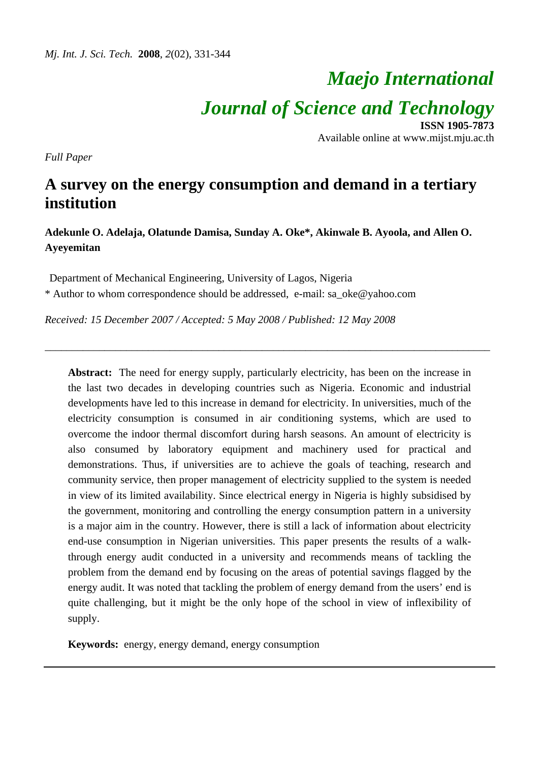# *Maejo International Journal of Science and Technology* **ISSN 1905-7873**

Available online at www.mijst.mju.ac.th

*Full Paper* 

# **A survey on the energy consumption and demand in a tertiary institution**

**Adekunle O. Adelaja, Olatunde Damisa, Sunday A. Oke\*, Akinwale B. Ayoola, and Allen O. Ayeyemitan** 

\_\_\_\_\_\_\_\_\_\_\_\_\_\_\_\_\_\_\_\_\_\_\_\_\_\_\_\_\_\_\_\_\_\_\_\_\_\_\_\_\_\_\_\_\_\_\_\_\_\_\_\_\_\_\_\_\_\_\_\_\_\_\_\_\_\_\_\_\_\_\_\_\_\_\_\_\_\_\_\_\_\_

Department of Mechanical Engineering, University of Lagos, Nigeria

\* Author to whom correspondence should be addressed, e-mail: sa\_oke@yahoo.com

*Received: 15 December 2007 / Accepted: 5 May 2008 / Published: 12 May 2008* 

Abstract: The need for energy supply, particularly electricity, has been on the increase in the last two decades in developing countries such as Nigeria. Economic and industrial developments have led to this increase in demand for electricity. In universities, much of the electricity consumption is consumed in air conditioning systems, which are used to overcome the indoor thermal discomfort during harsh seasons. An amount of electricity is also consumed by laboratory equipment and machinery used for practical and demonstrations. Thus, if universities are to achieve the goals of teaching, research and community service, then proper management of electricity supplied to the system is needed in view of its limited availability. Since electrical energy in Nigeria is highly subsidised by the government, monitoring and controlling the energy consumption pattern in a university is a major aim in the country. However, there is still a lack of information about electricity end-use consumption in Nigerian universities. This paper presents the results of a walkthrough energy audit conducted in a university and recommends means of tackling the problem from the demand end by focusing on the areas of potential savings flagged by the energy audit. It was noted that tackling the problem of energy demand from the users' end is quite challenging, but it might be the only hope of the school in view of inflexibility of supply.

**Keywords:** energy, energy demand, energy consumption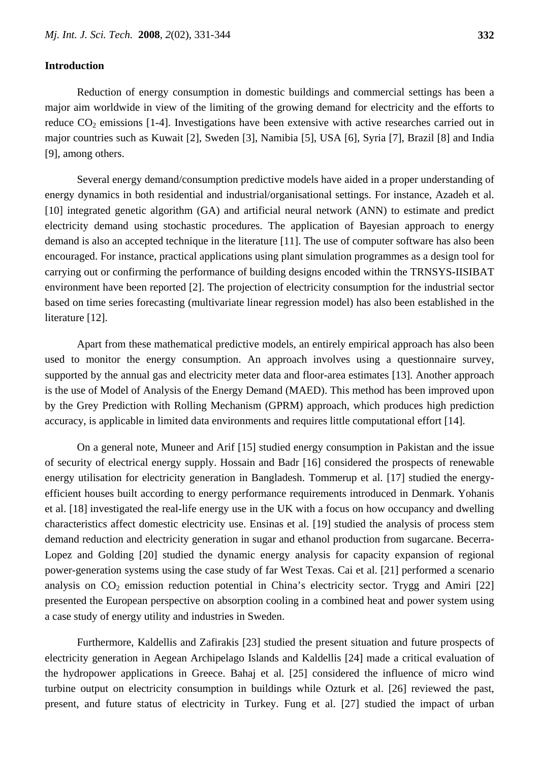#### **Introduction**

Reduction of energy consumption in domestic buildings and commercial settings has been a major aim worldwide in view of the limiting of the growing demand for electricity and the efforts to reduce  $CO<sub>2</sub>$  emissions [1-4]. Investigations have been extensive with active researches carried out in major countries such as Kuwait [2], Sweden [3], Namibia [5], USA [6], Syria [7], Brazil [8] and India [9], among others.

Several energy demand/consumption predictive models have aided in a proper understanding of energy dynamics in both residential and industrial/organisational settings. For instance, Azadeh et al. [10] integrated genetic algorithm (GA) and artificial neural network (ANN) to estimate and predict electricity demand using stochastic procedures. The application of Bayesian approach to energy demand is also an accepted technique in the literature [11]. The use of computer software has also been encouraged. For instance, practical applications using plant simulation programmes as a design tool for carrying out or confirming the performance of building designs encoded within the TRNSYS-IISIBAT environment have been reported [2]. The projection of electricity consumption for the industrial sector based on time series forecasting (multivariate linear regression model) has also been established in the literature [12].

Apart from these mathematical predictive models, an entirely empirical approach has also been used to monitor the energy consumption. An approach involves using a questionnaire survey, supported by the annual gas and electricity meter data and floor-area estimates [13]. Another approach is the use of Model of Analysis of the Energy Demand (MAED). This method has been improved upon by the Grey Prediction with Rolling Mechanism (GPRM) approach, which produces high prediction accuracy, is applicable in limited data environments and requires little computational effort [14].

On a general note, Muneer and Arif [15] studied energy consumption in Pakistan and the issue of security of electrical energy supply. Hossain and Badr [16] considered the prospects of renewable energy utilisation for electricity generation in Bangladesh. Tommerup et al. [17] studied the energyefficient houses built according to energy performance requirements introduced in Denmark. Yohanis et al. [18] investigated the real-life energy use in the UK with a focus on how occupancy and dwelling characteristics affect domestic electricity use. Ensinas et al. [19] studied the analysis of process stem demand reduction and electricity generation in sugar and ethanol production from sugarcane. Becerra-Lopez and Golding [20] studied the dynamic energy analysis for capacity expansion of regional power-generation systems using the case study of far West Texas. Cai et al. [21] performed a scenario analysis on  $CO<sub>2</sub>$  emission reduction potential in China's electricity sector. Trygg and Amiri [22] presented the European perspective on absorption cooling in a combined heat and power system using a case study of energy utility and industries in Sweden.

Furthermore, Kaldellis and Zafirakis [23] studied the present situation and future prospects of electricity generation in Aegean Archipelago Islands and Kaldellis [24] made a critical evaluation of the hydropower applications in Greece. Bahaj et al. [25] considered the influence of micro wind turbine output on electricity consumption in buildings while Ozturk et al. [26] reviewed the past, present, and future status of electricity in Turkey. Fung et al. [27] studied the impact of urban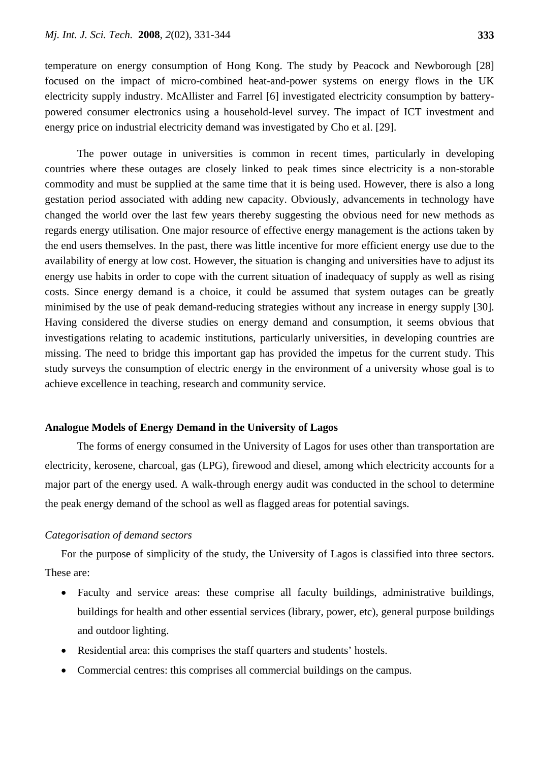temperature on energy consumption of Hong Kong. The study by Peacock and Newborough [28] focused on the impact of micro-combined heat-and-power systems on energy flows in the UK electricity supply industry. McAllister and Farrel [6] investigated electricity consumption by batterypowered consumer electronics using a household-level survey. The impact of ICT investment and energy price on industrial electricity demand was investigated by Cho et al. [29].

The power outage in universities is common in recent times, particularly in developing countries where these outages are closely linked to peak times since electricity is a non-storable commodity and must be supplied at the same time that it is being used. However, there is also a long gestation period associated with adding new capacity. Obviously, advancements in technology have changed the world over the last few years thereby suggesting the obvious need for new methods as regards energy utilisation. One major resource of effective energy management is the actions taken by the end users themselves. In the past, there was little incentive for more efficient energy use due to the availability of energy at low cost. However, the situation is changing and universities have to adjust its energy use habits in order to cope with the current situation of inadequacy of supply as well as rising costs. Since energy demand is a choice, it could be assumed that system outages can be greatly minimised by the use of peak demand-reducing strategies without any increase in energy supply [30]. Having considered the diverse studies on energy demand and consumption, it seems obvious that investigations relating to academic institutions, particularly universities, in developing countries are missing. The need to bridge this important gap has provided the impetus for the current study. This study surveys the consumption of electric energy in the environment of a university whose goal is to achieve excellence in teaching, research and community service.

### **Analogue Models of Energy Demand in the University of Lagos**

The forms of energy consumed in the University of Lagos for uses other than transportation are electricity, kerosene, charcoal, gas (LPG), firewood and diesel, among which electricity accounts for a major part of the energy used. A walk-through energy audit was conducted in the school to determine the peak energy demand of the school as well as flagged areas for potential savings.

### *Categorisation of demand sectors*

For the purpose of simplicity of the study, the University of Lagos is classified into three sectors. These are:

- Faculty and service areas: these comprise all faculty buildings, administrative buildings, buildings for health and other essential services (library, power, etc), general purpose buildings and outdoor lighting.
- Residential area: this comprises the staff quarters and students' hostels.
- Commercial centres: this comprises all commercial buildings on the campus.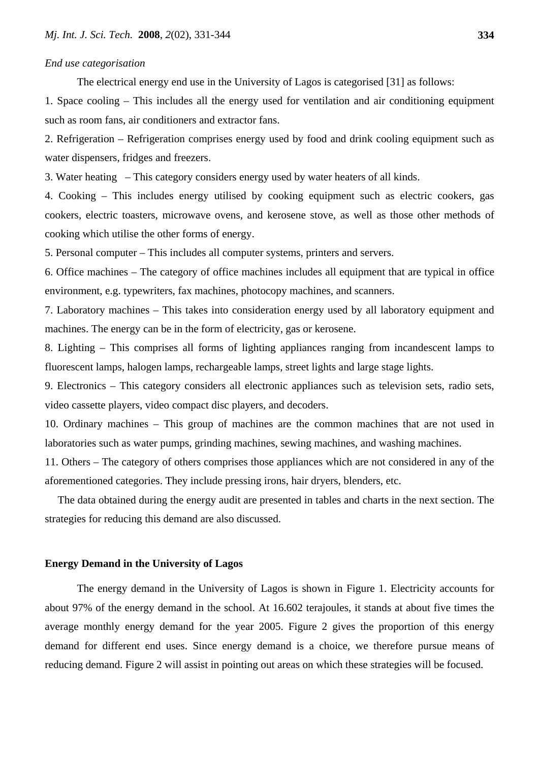#### *End use categorisation*

The electrical energy end use in the University of Lagos is categorised [31] as follows:

1. Space cooling – This includes all the energy used for ventilation and air conditioning equipment such as room fans, air conditioners and extractor fans.

2. Refrigeration – Refrigeration comprises energy used by food and drink cooling equipment such as water dispensers, fridges and freezers.

3. Water heating– This category considers energy used by water heaters of all kinds.

4. Cooking – This includes energy utilised by cooking equipment such as electric cookers, gas cookers, electric toasters, microwave ovens, and kerosene stove, as well as those other methods of cooking which utilise the other forms of energy.

5. Personal computer – This includes all computer systems, printers and servers.

6. Office machines – The category of office machines includes all equipment that are typical in office environment, e.g. typewriters, fax machines, photocopy machines, and scanners.

7. Laboratory machines – This takes into consideration energy used by all laboratory equipment and machines. The energy can be in the form of electricity, gas or kerosene.

8. Lighting – This comprises all forms of lighting appliances ranging from incandescent lamps to fluorescent lamps, halogen lamps, rechargeable lamps, street lights and large stage lights.

9. Electronics – This category considers all electronic appliances such as television sets, radio sets, video cassette players, video compact disc players, and decoders.

10. Ordinary machines – This group of machines are the common machines that are not used in laboratories such as water pumps, grinding machines, sewing machines, and washing machines.

11. Others – The category of others comprises those appliances which are not considered in any of the aforementioned categories. They include pressing irons, hair dryers, blenders, etc.

The data obtained during the energy audit are presented in tables and charts in the next section. The strategies for reducing this demand are also discussed.

# **Energy Demand in the University of Lagos**

The energy demand in the University of Lagos is shown in Figure 1. Electricity accounts for about 97% of the energy demand in the school. At 16.602 terajoules, it stands at about five times the average monthly energy demand for the year 2005. Figure 2 gives the proportion of this energy demand for different end uses. Since energy demand is a choice, we therefore pursue means of reducing demand. Figure 2 will assist in pointing out areas on which these strategies will be focused.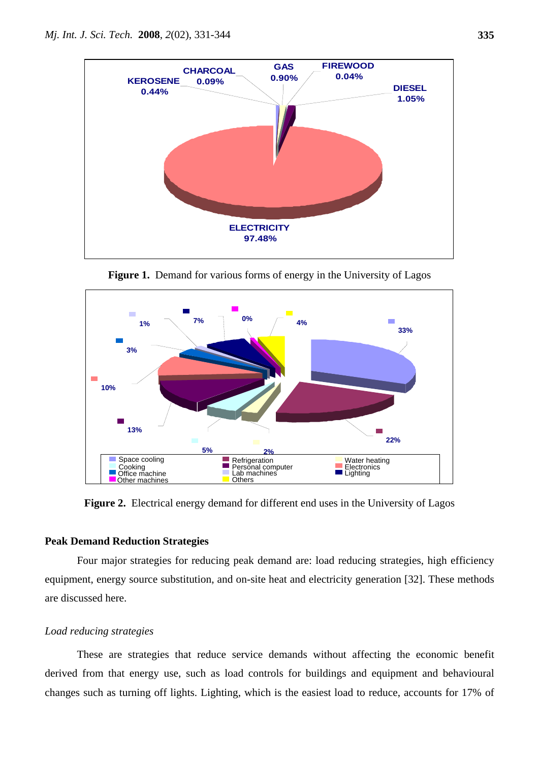

Figure 1. Demand for various forms of energy in the University of Lagos



Figure 2. Electrical energy demand for different end uses in the University of Lagos

# **Peak Demand Reduction Strategies**

Four major strategies for reducing peak demand are: load reducing strategies, high efficiency equipment, energy source substitution, and on-site heat and electricity generation [32]. These methods are discussed here.

# *Load reducing strategies*

These are strategies that reduce service demands without affecting the economic benefit derived from that energy use, such as load controls for buildings and equipment and behavioural changes such as turning off lights. Lighting, which is the easiest load to reduce, accounts for 17% of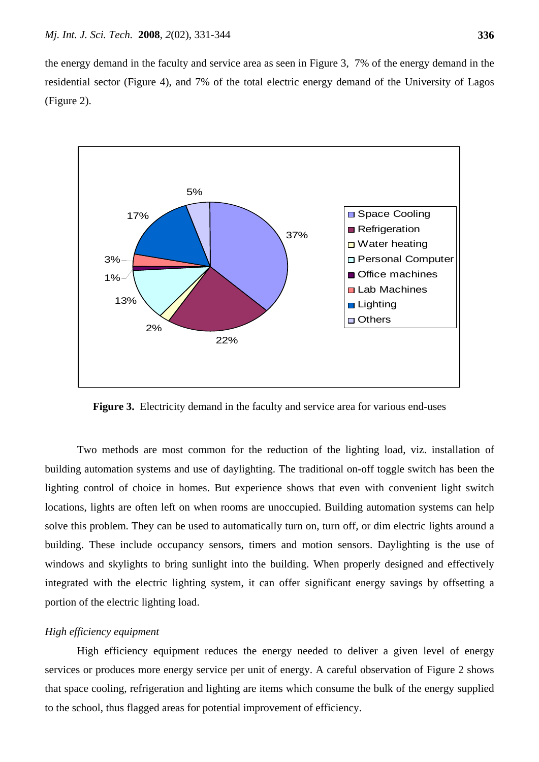the energy demand in the faculty and service area as seen in Figure 3, 7% of the energy demand in the residential sector (Figure 4), and 7% of the total electric energy demand of the University of Lagos (Figure 2).



**Figure 3.** Electricity demand in the faculty and service area for various end-uses

Two methods are most common for the reduction of the lighting load, viz. installation of building automation systems and use of daylighting. The traditional on-off toggle switch has been the lighting control of choice in homes. But experience shows that even with convenient light switch locations, lights are often left on when rooms are unoccupied. Building automation systems can help solve this problem. They can be used to automatically turn on, turn off, or dim electric lights around a building. These include occupancy sensors, timers and motion sensors. Daylighting is the use of windows and skylights to bring sunlight into the building. When properly designed and effectively integrated with the electric lighting system, it can offer significant energy savings by offsetting a portion of the electric lighting load.

#### *High efficiency equipment*

High efficiency equipment reduces the energy needed to deliver a given level of energy services or produces more energy service per unit of energy. A careful observation of Figure 2 shows that space cooling, refrigeration and lighting are items which consume the bulk of the energy supplied to the school, thus flagged areas for potential improvement of efficiency.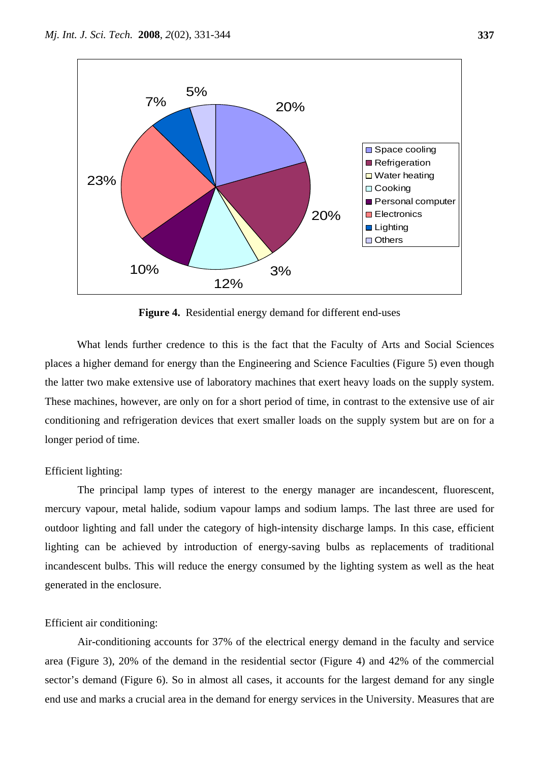

**Figure 4.** Residential energy demand for different end-uses

What lends further credence to this is the fact that the Faculty of Arts and Social Sciences places a higher demand for energy than the Engineering and Science Faculties (Figure 5) even though the latter two make extensive use of laboratory machines that exert heavy loads on the supply system. These machines, however, are only on for a short period of time, in contrast to the extensive use of air conditioning and refrigeration devices that exert smaller loads on the supply system but are on for a longer period of time.

#### Efficient lighting:

 The principal lamp types of interest to the energy manager are incandescent, fluorescent, mercury vapour, metal halide, sodium vapour lamps and sodium lamps. The last three are used for outdoor lighting and fall under the category of high-intensity discharge lamps. In this case, efficient lighting can be achieved by introduction of energy-saving bulbs as replacements of traditional incandescent bulbs. This will reduce the energy consumed by the lighting system as well as the heat generated in the enclosure.

### Efficient air conditioning:

 Air-conditioning accounts for 37% of the electrical energy demand in the faculty and service area (Figure 3), 20% of the demand in the residential sector (Figure 4) and 42% of the commercial sector's demand (Figure 6). So in almost all cases, it accounts for the largest demand for any single end use and marks a crucial area in the demand for energy services in the University. Measures that are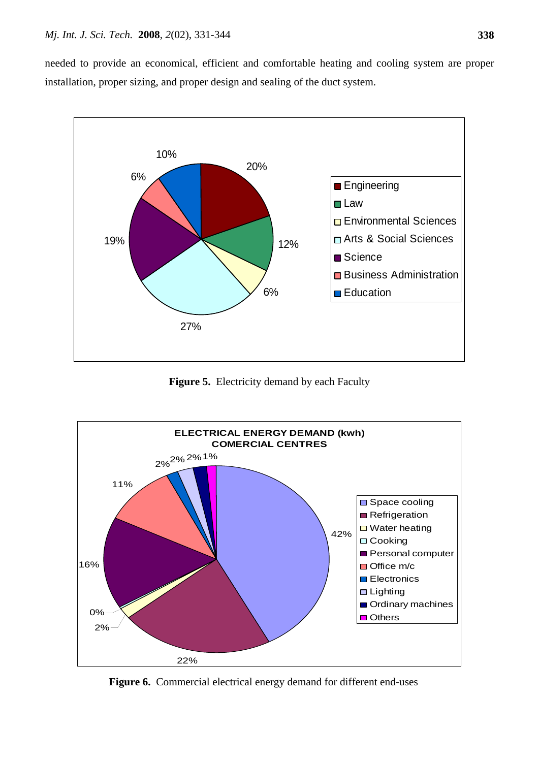needed to provide an economical, efficient and comfortable heating and cooling system are proper installation, proper sizing, and proper design and sealing of the duct system.



**Figure 5.** Electricity demand by each Faculty



Figure 6. Commercial electrical energy demand for different end-uses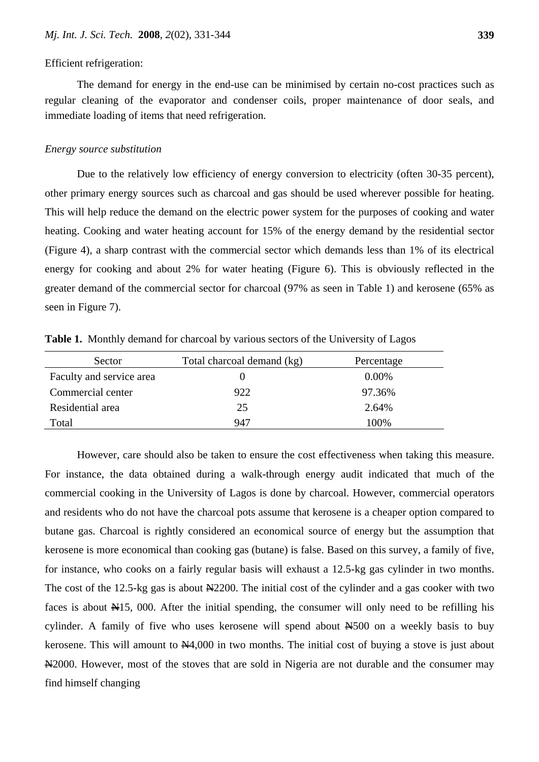#### Efficient refrigeration:

The demand for energy in the end-use can be minimised by certain no-cost practices such as regular cleaning of the evaporator and condenser coils, proper maintenance of door seals, and immediate loading of items that need refrigeration.

#### *Energy source substitution*

Due to the relatively low efficiency of energy conversion to electricity (often 30-35 percent), other primary energy sources such as charcoal and gas should be used wherever possible for heating. This will help reduce the demand on the electric power system for the purposes of cooking and water heating. Cooking and water heating account for 15% of the energy demand by the residential sector (Figure 4), a sharp contrast with the commercial sector which demands less than 1% of its electrical energy for cooking and about 2% for water heating (Figure 6). This is obviously reflected in the greater demand of the commercial sector for charcoal (97% as seen in Table 1) and kerosene (65% as seen in Figure 7).

| Sector                   | Total charcoal demand (kg) | Percentage |
|--------------------------|----------------------------|------------|
| Faculty and service area |                            | $0.00\%$   |
| Commercial center        | 922                        | 97.36%     |
| Residential area         | 25                         | 2.64%      |
| Total                    | 947                        | 100%       |

**Table 1.** Monthly demand for charcoal by various sectors of the University of Lagos

However, care should also be taken to ensure the cost effectiveness when taking this measure. For instance, the data obtained during a walk-through energy audit indicated that much of the commercial cooking in the University of Lagos is done by charcoal. However, commercial operators and residents who do not have the charcoal pots assume that kerosene is a cheaper option compared to butane gas. Charcoal is rightly considered an economical source of energy but the assumption that kerosene is more economical than cooking gas (butane) is false. Based on this survey, a family of five, for instance, who cooks on a fairly regular basis will exhaust a 12.5-kg gas cylinder in two months. The cost of the 12.5-kg gas is about  $\frac{N}{2200}$ . The initial cost of the cylinder and a gas cooker with two faces is about  $\mathbb{H}15$ , 000. After the initial spending, the consumer will only need to be refilling his cylinder. A family of five who uses kerosene will spend about  $H_{500}$  on a weekly basis to buy kerosene. This will amount to  $\mathbb{N}4,000$  in two months. The initial cost of buying a stove is just about N<sub>2000</sub>. However, most of the stoves that are sold in Nigeria are not durable and the consumer may find himself changing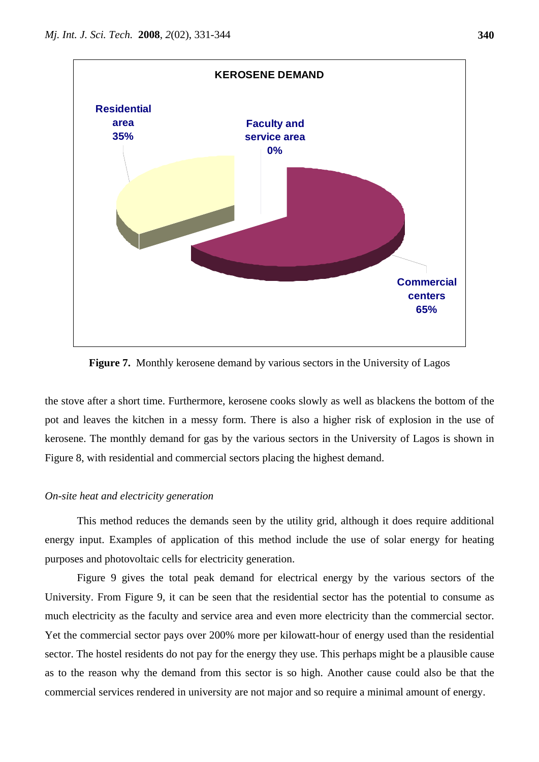

**Figure 7.** Monthly kerosene demand by various sectors in the University of Lagos

the stove after a short time. Furthermore, kerosene cooks slowly as well as blackens the bottom of the pot and leaves the kitchen in a messy form. There is also a higher risk of explosion in the use of kerosene. The monthly demand for gas by the various sectors in the University of Lagos is shown in Figure 8, with residential and commercial sectors placing the highest demand.

#### *On-site heat and electricity generation*

 This method reduces the demands seen by the utility grid, although it does require additional energy input. Examples of application of this method include the use of solar energy for heating purposes and photovoltaic cells for electricity generation.

 Figure 9 gives the total peak demand for electrical energy by the various sectors of the University. From Figure 9, it can be seen that the residential sector has the potential to consume as much electricity as the faculty and service area and even more electricity than the commercial sector. Yet the commercial sector pays over 200% more per kilowatt-hour of energy used than the residential sector. The hostel residents do not pay for the energy they use. This perhaps might be a plausible cause as to the reason why the demand from this sector is so high. Another cause could also be that the commercial services rendered in university are not major and so require a minimal amount of energy.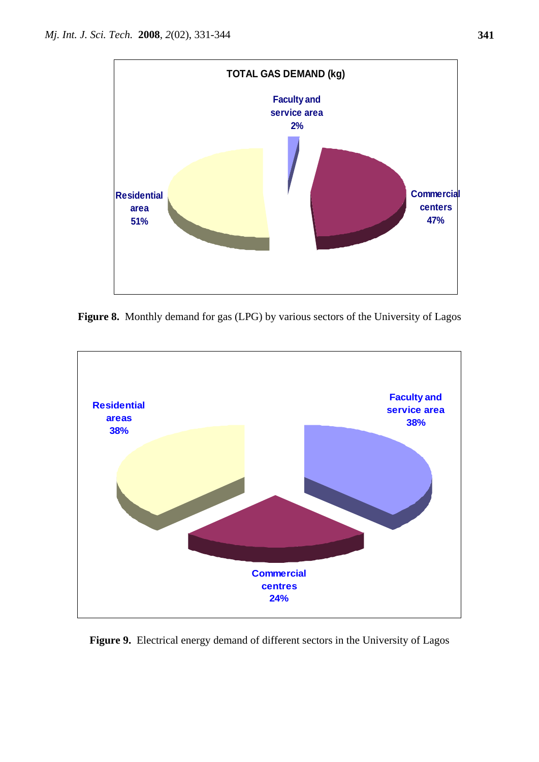

**Figure 8.** Monthly demand for gas (LPG) by various sectors of the University of Lagos



**Figure 9.** Electrical energy demand of different sectors in the University of Lagos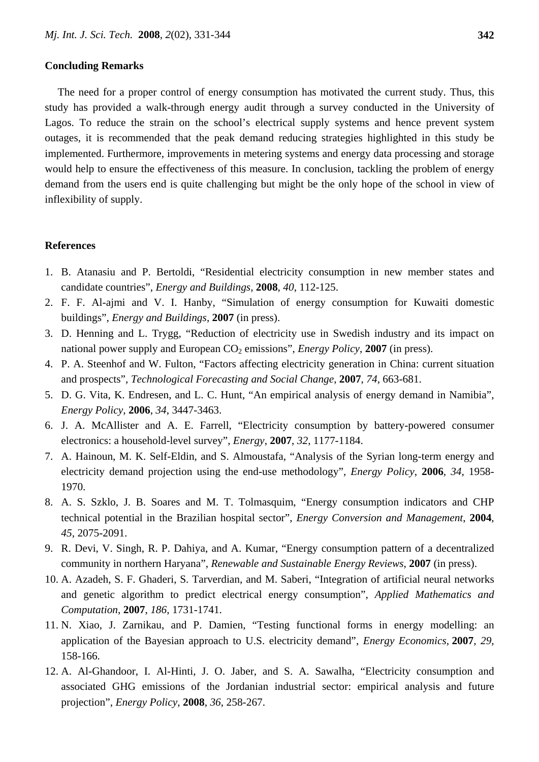#### **Concluding Remarks**

The need for a proper control of energy consumption has motivated the current study. Thus, this study has provided a walk-through energy audit through a survey conducted in the University of Lagos. To reduce the strain on the school's electrical supply systems and hence prevent system outages, it is recommended that the peak demand reducing strategies highlighted in this study be implemented. Furthermore, improvements in metering systems and energy data processing and storage would help to ensure the effectiveness of this measure. In conclusion, tackling the problem of energy demand from the users end is quite challenging but might be the only hope of the school in view of inflexibility of supply.

#### **References**

- 1. B. Atanasiu and P. Bertoldi, "Residential electricity consumption in new member states and candidate countries", *Energy and Buildings*, **2008**, *40*, 112-125.
- 2. F. F. Al-ajmi and V. I. Hanby, "Simulation of energy consumption for Kuwaiti domestic buildings", *Energy and Buildings*, **2007** (in press).
- 3. D. Henning and L. Trygg, "Reduction of electricity use in Swedish industry and its impact on national power supply and European  $CO_2$  emissions", *Energy Policy*, **2007** (in press).
- 4. P. A. Steenhof and W. Fulton, "Factors affecting electricity generation in China: current situation and prospects", *Technological Forecasting and Social Change*, **2007**, *74*, 663-681.
- 5. D. G. Vita, K. Endresen, and L. C. Hunt, "An empirical analysis of energy demand in Namibia", *Energy Policy*, **2006**, *34*, 3447-3463.
- 6. J. A. McAllister and A. E. Farrell, "Electricity consumption by battery-powered consumer electronics: a household-level survey", *Energy*, **2007**, *32*, 1177-1184.
- 7. A. Hainoun, M. K. Self-Eldin, and S. Almoustafa, "Analysis of the Syrian long-term energy and electricity demand projection using the end-use methodology", *Energy Policy*, **2006**, *34*, 1958- 1970.
- 8. A. S. Szklo, J. B. Soares and M. T. Tolmasquim, "Energy consumption indicators and CHP technical potential in the Brazilian hospital sector", *Energy Conversion and Management*, **2004**, *45*, 2075-2091.
- 9. R. Devi, V. Singh, R. P. Dahiya, and A. Kumar, "Energy consumption pattern of a decentralized community in northern Haryana", *Renewable and Sustainable Energy Reviews*, **2007** (in press).
- 10. A. Azadeh, S. F. Ghaderi, S. Tarverdian, and M. Saberi, "Integration of artificial neural networks and genetic algorithm to predict electrical energy consumption", *Applied Mathematics and Computation*, **2007**, *186*, 1731-1741.
- 11. N. Xiao, J. Zarnikau, and P. Damien, "Testing functional forms in energy modelling: an application of the Bayesian approach to U.S. electricity demand", *Energy Economics*, **2007**, *29*, 158-166.
- 12. A. Al-Ghandoor, I. Al-Hinti, J. O. Jaber, and S. A. Sawalha, "Electricity consumption and associated GHG emissions of the Jordanian industrial sector: empirical analysis and future projection", *Energy Policy*, **2008**, *36*, 258-267.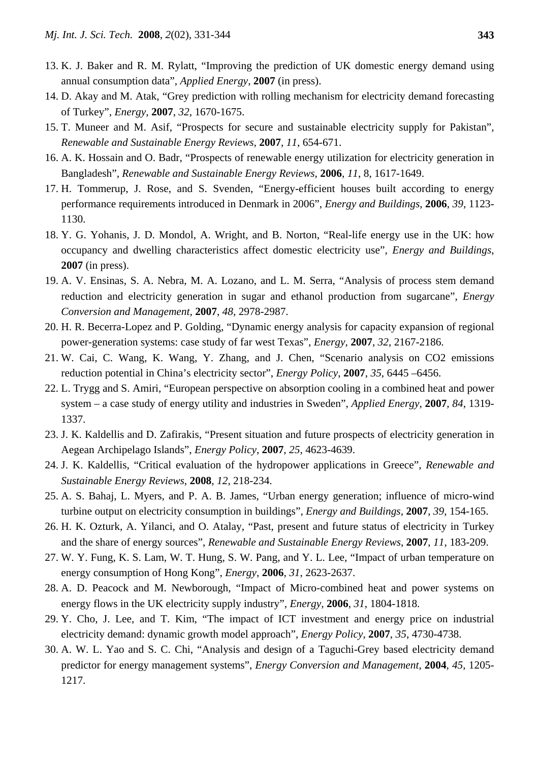- 13. K. J. Baker and R. M. Rylatt, "Improving the prediction of UK domestic energy demand using annual consumption data", *Applied Energy*, **2007** (in press).
- 14. D. Akay and M. Atak, "Grey prediction with rolling mechanism for electricity demand forecasting of Turkey", *Energy*, **2007**, *32*, 1670-1675.
- 15. T. Muneer and M. Asif, "Prospects for secure and sustainable electricity supply for Pakistan", *Renewable and Sustainable Energy Reviews*, **2007**, *11*, 654-671.
- 16. A. K. Hossain and O. Badr, "Prospects of renewable energy utilization for electricity generation in Bangladesh", *Renewable and Sustainable Energy Reviews*, **2006**, *11*, 8, 1617-1649.
- 17. H. Tommerup, J. Rose, and S. Svenden, "Energy-efficient houses built according to energy performance requirements introduced in Denmark in 2006", *Energy and Buildings*, **2006**, *39*, 1123- 1130.
- 18. Y. G. Yohanis, J. D. Mondol, A. Wright, and B. Norton, "Real-life energy use in the UK: how occupancy and dwelling characteristics affect domestic electricity use", *Energy and Buildings*, **2007** (in press).
- 19. A. V. Ensinas, S. A. Nebra, M. A. Lozano, and L. M. Serra, "Analysis of process stem demand reduction and electricity generation in sugar and ethanol production from sugarcane", *Energy Conversion and Management*, **2007**, *48*, 2978-2987.
- 20. H. R. Becerra-Lopez and P. Golding, "Dynamic energy analysis for capacity expansion of regional power-generation systems: case study of far west Texas", *Energy*, **2007**, *32*, 2167-2186.
- 21. W. Cai, C. Wang, K. Wang, Y. Zhang, and J. Chen, "Scenario analysis on CO2 emissions reduction potential in China's electricity sector", *Energy Policy*, **2007**, *35*, 6445 –6456.
- 22. L. Trygg and S. Amiri, "European perspective on absorption cooling in a combined heat and power system – a case study of energy utility and industries in Sweden", *Applied Energy*, **2007**, *84*, 1319- 1337.
- 23. J. K. Kaldellis and D. Zafirakis, "Present situation and future prospects of electricity generation in Aegean Archipelago Islands", *Energy Policy*, **2007**, *25*, 4623-4639.
- 24. J. K. Kaldellis, "Critical evaluation of the hydropower applications in Greece", *Renewable and Sustainable Energy Reviews*, **2008**, *12*, 218-234.
- 25. A. S. Bahaj, L. Myers, and P. A. B. James, "Urban energy generation; influence of micro-wind turbine output on electricity consumption in buildings", *Energy and Buildings*, **2007**, *39*, 154-165.
- 26. H. K. Ozturk, A. Yilanci, and O. Atalay, "Past, present and future status of electricity in Turkey and the share of energy sources", *Renewable and Sustainable Energy Reviews*, **2007**, *11*, 183-209.
- 27. W. Y. Fung, K. S. Lam, W. T. Hung, S. W. Pang, and Y. L. Lee, "Impact of urban temperature on energy consumption of Hong Kong", *Energy*, **2006**, *31*, 2623-2637.
- 28. A. D. Peacock and M. Newborough, "Impact of Micro-combined heat and power systems on energy flows in the UK electricity supply industry", *Energy*, **2006**, *31*, 1804-1818.
- 29. Y. Cho, J. Lee, and T. Kim, "The impact of ICT investment and energy price on industrial electricity demand: dynamic growth model approach", *Energy Policy*, **2007**, *35*, 4730-4738.
- 30. A. W. L. Yao and S. C. Chi, "Analysis and design of a Taguchi-Grey based electricity demand predictor for energy management systems", *Energy Conversion and Management*, **2004**, *45*, 1205- 1217.